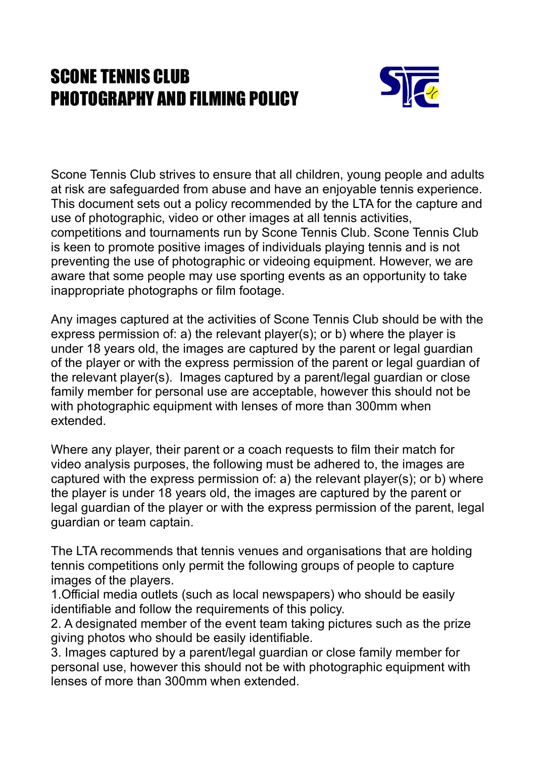## SCONE TENNIS CLUB PHOTOGRAPHY AND FILMING POLICY



Scone Tennis Club strives to ensure that all children, young people and adults at risk are safeguarded from abuse and have an enjoyable tennis experience. This document sets out a policy recommended by the LTA for the capture and use of photographic, video or other images at all tennis activities, competitions and tournaments run by Scone Tennis Club. Scone Tennis Club is keen to promote positive images of individuals playing tennis and is not preventing the use of photographic or videoing equipment. However, we are aware that some people may use sporting events as an opportunity to take inappropriate photographs or film footage.

Any images captured at the activities of Scone Tennis Club should be with the express permission of: a) the relevant player(s); or b) where the player is under 18 years old, the images are captured by the parent or legal guardian of the player or with the express permission of the parent or legal guardian of the relevant player(s). Images captured by a parent/legal guardian or close family member for personal use are acceptable, however this should not be with photographic equipment with lenses of more than 300mm when extended.

Where any player, their parent or a coach requests to film their match for video analysis purposes, the following must be adhered to, the images are captured with the express permission of: a) the relevant player(s); or b) where the player is under 18 years old, the images are captured by the parent or legal guardian of the player or with the express permission of the parent, legal guardian or team captain.

The LTA recommends that tennis venues and organisations that are holding tennis competitions only permit the following groups of people to capture images of the players.

1.Official media outlets (such as local newspapers) who should be easily identifiable and follow the requirements of this policy.

2. A designated member of the event team taking pictures such as the prize giving photos who should be easily identifiable.

3. Images captured by a parent/legal guardian or close family member for personal use, however this should not be with photographic equipment with lenses of more than 300mm when extended.